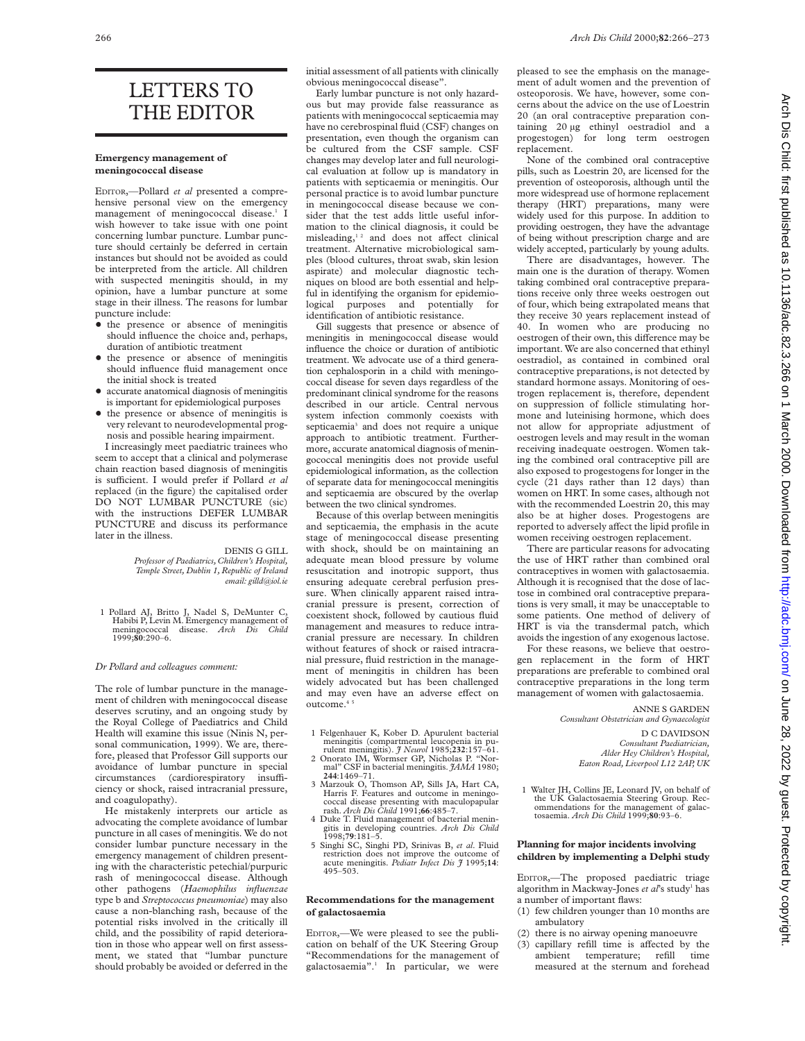# LETTERS TO THE EDITOR

#### **Emergency management of meningococcal disease**

EDITOR,—Pollard *et al* presented a comprehensive personal view on the emergency management of meningococcal disease.<sup>1</sup> I wish however to take issue with one point concerning lumbar puncture. Lumbar puncture should certainly be deferred in certain instances but should not be avoided as could be interpreted from the article. All children with suspected meningitis should, in my opinion, have a lumbar puncture at some stage in their illness. The reasons for lumbar puncture include:

- $\bullet$  the presence or absence of meningitis should influence the choice and, perhaps, duration of antibiotic treatment
- $\bullet$  the presence or absence of meningitis should influence fluid management once the initial shock is treated
- $\bullet$  accurate anatomical diagnosis of meningitis is important for epidemiological purposes
- $\bullet$  the presence or absence of meningitis is very relevant to neurodevelopmental prognosis and possible hearing impairment.

I increasingly meet paediatric trainees who seem to accept that a clinical and polymerase chain reaction based diagnosis of meningitis is sufficient. I would prefer if Pollard et al replaced (in the figure) the capitalised order DO NOT LUMBAR PUNCTURE (sic) with the instructions DEFER LUMBAR PUNCTURE and discuss its performance later in the illness.

> DENIS G GILL *Professor of Paediatrics, Children's Hospital, Temple Street, Dublin 1, Republic of Ireland email: gilld@iol.ie*

1 Pollard AJ, Britto J, Nadel S, DeMunter C, Habibi P, Levin M. Emergency management of meningococcal disease. *Arch Dis Child* 1999;**80**:290–6.

#### *Dr Pollard and colleagues comment:*

The role of lumbar puncture in the management of children with meningococcal disease deserves scrutiny, and an ongoing study by the Royal College of Paediatrics and Child Health will examine this issue (Ninis N, personal communication, 1999). We are, therefore, pleased that Professor Gill supports our avoidance of lumbar puncture in special circumstances (cardiorespiratory insufficiency or shock, raised intracranial pressure, and coagulopathy).

He mistakenly interprets our article as advocating the complete avoidance of lumbar puncture in all cases of meningitis. We do not consider lumbar puncture necessary in the emergency management of children presenting with the characteristic petechial/purpuric rash of meningococcal disease. Although other pathogens (*Haemophilus influenzae* type b and *Streptococcus pneumoniae*) may also cause a non-blanching rash, because of the potential risks involved in the critically ill child, and the possibility of rapid deterioration in those who appear well on first assessment, we stated that "lumbar puncture should probably be avoided or deferred in the initial assessment of all patients with clinically obvious meningococcal disease".

Early lumbar puncture is not only hazardous but may provide false reassurance as patients with meningococcal septicaemia may have no cerebrospinal fluid (CSF) changes on presentation, even though the organism can be cultured from the CSF sample. CSF changes may develop later and full neurological evaluation at follow up is mandatory in patients with septicaemia or meningitis. Our personal practice is to avoid lumbar puncture in meningococcal disease because we consider that the test adds little useful information to the clinical diagnosis, it could be misleading,<sup>12</sup> and does not affect clinical treatment. Alternative microbiological samples (blood cultures, throat swab, skin lesion aspirate) and molecular diagnostic techniques on blood are both essential and helpful in identifying the organism for epidemiological purposes and potentially for identification of antibiotic resistance.

Gill suggests that presence or absence of meningitis in meningococcal disease would influence the choice or duration of antibiotic treatment. We advocate use of a third generation cephalosporin in a child with meningococcal disease for seven days regardless of the predominant clinical syndrome for the reasons described in our article. Central nervous system infection commonly coexists with septicaemia<sup>3</sup> and does not require a unique approach to antibiotic treatment. Furthermore, accurate anatomical diagnosis of meningococcal meningitis does not provide useful epidemiological information, as the collection of separate data for meningococcal meningitis and septicaemia are obscured by the overlap between the two clinical syndromes.

Because of this overlap between meningitis and septicaemia, the emphasis in the acute stage of meningococcal disease presenting with shock, should be on maintaining an adequate mean blood pressure by volume resuscitation and inotropic support, thus ensuring adequate cerebral perfusion pressure. When clinically apparent raised intracranial pressure is present, correction of coexistent shock, followed by cautious fluid management and measures to reduce intracranial pressure are necessary. In children without features of shock or raised intracranial pressure, fluid restriction in the management of meningitis in children has been widely advocated but has been challenged and may even have an adverse effect on outcome.<sup>4</sup>

- 1 Felgenhauer K, Kober D. Apurulent bacterial
- meningitis (compartmental leucopenia in pu-<br>rulent meningitis). *J Neurol* 1985;232:157–61.<br>2 Onorato IM, Wormser GP, Nicholas P. "Nor-<br>mal" CSF in bacterial meningitis. *JAMA* 1980;
- **244**:1469–71. 3 Marzouk O, Thomson AP, Sills JA, Hart CA, Harris F. Features and outcome in meningococcal disease presenting with maculopapular rash. *Arch Dis Child* 1991;**66**:485–7.
- 4 Duke T. Fluid management of bacterial meningitis in developing countries. *Arch Dis Child* 1998;**79**:181–5.
- 5 Singhi SC, Singhi PD, Srinivas B, *et al*. Fluid restriction does not improve the outcome of acute meningitis. *Pediatr Infect Dis J* 1995;**14**: 495–503.

## **Recommendations for the management of galactosaemia**

EDITOR,—We were pleased to see the publication on behalf of the UK Steering Group "Recommendations for the management of galactosaemia".<sup>1</sup> In particular, we were

pleased to see the emphasis on the management of adult women and the prevention of osteoporosis. We have, however, some concerns about the advice on the use of Loestrin 20 (an oral contraceptive preparation containing 20 µg ethinyl oestradiol and a progestogen) for long term oestrogen replacement.

None of the combined oral contraceptive pills, such as Loestrin 20, are licensed for the prevention of osteoporosis, although until the more widespread use of hormone replacement therapy (HRT) preparations, many were widely used for this purpose. In addition to providing oestrogen, they have the advantage of being without prescription charge and are widely accepted, particularly by young adults.

There are disadvantages, however. The main one is the duration of therapy. Women taking combined oral contraceptive preparations receive only three weeks oestrogen out of four, which being extrapolated means that they receive 30 years replacement instead of 40. In women who are producing no oestrogen of their own, this difference may be important. We are also concerned that ethinyl oestradiol, as contained in combined oral contraceptive preparations, is not detected by standard hormone assays. Monitoring of oestrogen replacement is, therefore, dependent on suppression of follicle stimulating hormone and luteinising hormone, which does not allow for appropriate adjustment of oestrogen levels and may result in the woman receiving inadequate oestrogen. Women taking the combined oral contraceptive pill are also exposed to progestogens for longer in the cycle (21 days rather than 12 days) than women on HRT. In some cases, although not with the recommended Loestrin 20, this may also be at higher doses. Progestogens are reported to adversely affect the lipid profile in women receiving oestrogen replacement.

There are particular reasons for advocating the use of HRT rather than combined oral contraceptives in women with galactosaemia. Although it is recognised that the dose of lactose in combined oral contraceptive preparations is very small, it may be unacceptable to some patients. One method of delivery of HRT is via the transdermal patch, which avoids the ingestion of any exogenous lactose.

For these reasons, we believe that oestrogen replacement in the form of HRT preparations are preferable to combined oral contraceptive preparations in the long term management of women with galactosaemia.

#### ANNE S GARDEN

*Consultant Obstetrician and Gynaecologist*

D C DAVIDSON *Consultant Paediatrician, Alder Hey Children's Hospital, Eaton Road, Liverpool L12 2AP, UK*

1 Walter JH, Collins JE, Leonard JV, on behalf of the UK Galactosaemia Steering Group. Recommendations for the management of galac-tosaemia. *Arch Dis Child* 1999;**80**:93–6.

## **Planning for major incidents involving children by implementing a Delphi study**

EDITOR,—The proposed paediatric triage algorithm in Mackway-Jones et al's study<sup>1</sup> has a number of important flaws:

- (1) few children younger than 10 months are ambulatory
- (2) there is no airway opening manoeuvre  $(3)$  capillary refill time is affected by t
- capillary refill time is affected by the ambient temperature; refill time measured at the sternum and forehead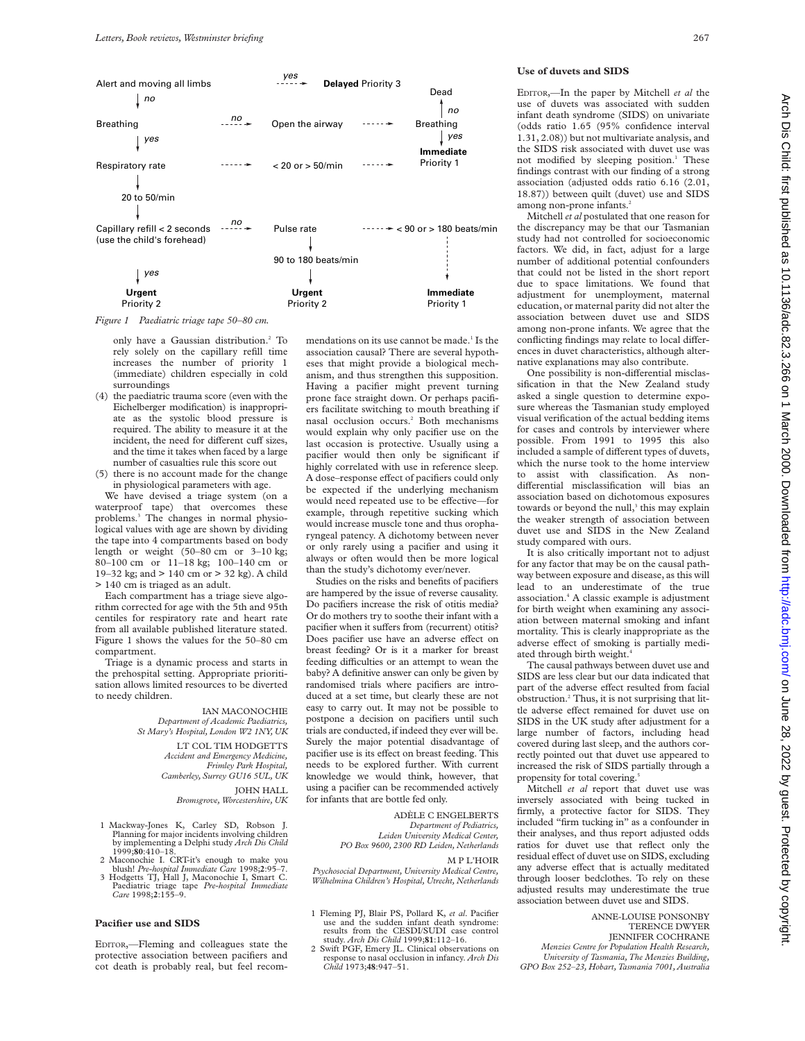| Alert and moving all limbs<br>no                                           |                 | yes                  | <b>Delayed Priority 3</b> | Dead                            |
|----------------------------------------------------------------------------|-----------------|----------------------|---------------------------|---------------------------------|
| <b>Breathing</b><br>yes                                                    | no              | Open the airway      |                           | no<br><b>Breathing</b><br>yes   |
| Respiratory rate                                                           |                 | $<$ 20 or $>$ 50/min |                           | Immediate<br>Priority 1         |
| 20 to 50/min<br>Capillary refill < 2 seconds<br>(use the child's forehead) | $\frac{10}{10}$ | Pulse rate           |                           | $\star$ < 90 or > 180 beats/min |
| yes                                                                        |                 | 90 to 180 beats/min  |                           |                                 |
| Urgent<br>Priority 2                                                       |                 | Urgent<br>Priority 2 |                           | Immediate<br>Priority 1         |

*Figure 1 Paediatric triage tape 50–80 cm.*

only have a Gaussian distribution.<sup>2</sup> To rely solely on the capillary refill time increases the number of priority 1 (immediate) children especially in cold surroundings

(4) the paediatric trauma score (even with the Eichelberger modification) is inappropriate as the systolic blood pressure is required. The ability to measure it at the incident, the need for different cuff sizes, and the time it takes when faced by a large number of casualties rule this score out

(5) there is no account made for the change in physiological parameters with age.

We have devised a triage system (on a waterproof tape) that overcomes these problems.3 The changes in normal physiological values with age are shown by dividing the tape into 4 compartments based on body length or weight (50–80 cm or 3–10 kg; 80–100 cm or 11–18 kg; 100–140 cm or 19–32 kg; and > 140 cm or > 32 kg). A child > 140 cm is triaged as an adult.

Each compartment has a triage sieve algorithm corrected for age with the 5th and 95th centiles for respiratory rate and heart rate from all available published literature stated. Figure 1 shows the values for the 50–80 cm compartment.

Triage is a dynamic process and starts in the prehospital setting. Appropriate prioritisation allows limited resources to be diverted to needy children.

> IAN MACONOCHIE *Department of Academic Paediatrics, St Mary's Hospital, London W2 1NY, UK* LT COL TIM HODGETTS *Accident and Emergency Medicine, Frimley Park Hospital,*

*Camberley, Surrey GU16 5UL, UK* JOHN HALL

*Bromsgrove, Worcestershire, UK*

- 1 Mackway-Jones K, Carley SD, Robson J. Planning for major incidents involving children by implementing a Delphi study *Arch Dis Child* 1999;**80**:410–18.
- 2 Maconochie I. CRT-it's enough to make you blush! *Pre-hospital Immediate Care* 1998;**2**:95–7. 3 Hodgetts TJ, Hall J, Maconochie I, Smart C.
- Paediatric triage tape *Pre-hospital Immediate Care* 1998;**2**:155–9.

## **Pacifier use and SIDS**

EDITOR,—Fleming and colleagues state the protective association between pacifiers and cot death is probably real, but feel recommendations on its use cannot be made.<sup>1</sup> Is the association causal? There are several hypotheses that might provide a biological mechanism, and thus strengthen this supposition. Having a pacifier might prevent turning prone face straight down. Or perhaps pacifiers facilitate switching to mouth breathing if nasal occlusion occurs.<sup>2</sup> Both mechanisms would explain why only pacifier use on the last occasion is protective. Usually using a pacifier would then only be significant if highly correlated with use in reference sleep. A dose-response effect of pacifiers could only be expected if the underlying mechanism would need repeated use to be effective—for example, through repetitive sucking which would increase muscle tone and thus oropharyngeal patency. A dichotomy between never or only rarely using a pacifier and using it always or often would then be more logical than the study's dichotomy ever/never.

Studies on the risks and benefits of pacifiers are hampered by the issue of reverse causality. Do pacifiers increase the risk of otitis media? Or do mothers try to soothe their infant with a pacifier when it suffers from (recurrent) otitis? Does pacifier use have an adverse effect on breast feeding? Or is it a marker for breast feeding difficulties or an attempt to wean the baby? A definitive answer can only be given by randomised trials where pacifiers are introduced at a set time, but clearly these are not easy to carry out. It may not be possible to postpone a decision on pacifiers until such trials are conducted, if indeed they ever will be. Surely the major potential disadvantage of pacifier use is its effect on breast feeding. This needs to be explored further. With current knowledge we would think, however, that using a pacifier can be recommended actively for infants that are bottle fed only.

> ADÈLE C ENGELBERTS *Department of Pediatrics,*

*Leiden University Medical Center, PO Box 9600, 2300 RD Leiden, Netherlands*

#### M P L'HOIR

*Psychosocial Department, University Medical Centre, Wilhelmina Children's Hospital, Utrecht, Netherlands*

- 1 Fleming PJ, Blair PS, Pollard K, *et al*. Pacifier use and the sudden infant death syndrome: results from the CESDI/SUDI case control study. *Arch Dis Child* 1999;**81**:112–16.
- 2 Swift PGF, Emery JL. Clinical observations on response to nasal occlusion in infancy. *Arch Dis Child* 1973;**48**:947–51.

#### **Use of duvets and SIDS**

EDITOR,—In the paper by Mitchell *et al* the use of duvets was associated with sudden infant death syndrome (SIDS) on univariate (odds ratio 1.65 (95% confidence interval 1.31, 2.08)) but not multivariate analysis, and the SIDS risk associated with duvet use was not modified by sleeping position.<sup>1</sup> These findings contrast with our finding of a strong association (adjusted odds ratio 6.16 (2.01, 18.87)) between quilt (duvet) use and SIDS among non-prone infants.<sup>2</sup>

Mitchell *et al* postulated that one reason for the discrepancy may be that our Tasmanian study had not controlled for socioeconomic factors. We did, in fact, adjust for a large number of additional potential confounders that could not be listed in the short report due to space limitations. We found that adjustment for unemployment, maternal education, or maternal parity did not alter the association between duvet use and SIDS among non-prone infants. We agree that the conflicting findings may relate to local differences in duvet characteristics, although alternative explanations may also contribute.

One possibility is non-differential misclassification in that the New Zealand study asked a single question to determine exposure whereas the Tasmanian study employed visual verification of the actual bedding items for cases and controls by interviewer where possible. From 1991 to 1995 this also included a sample of different types of duvets, which the nurse took to the home interview to assist with classification. As nondifferential misclassification will bias an association based on dichotomous exposures towards or beyond the null,<sup>3</sup> this may explain the weaker strength of association between duvet use and SIDS in the New Zealand study compared with ours.

It is also critically important not to adjust for any factor that may be on the causal pathway between exposure and disease, as this will lead to an underestimate of the true association.4 A classic example is adjustment for birth weight when examining any association between maternal smoking and infant mortality. This is clearly inappropriate as the adverse effect of smoking is partially mediated through birth weight.<sup>4</sup>

The causal pathways between duvet use and SIDS are less clear but our data indicated that part of the adverse effect resulted from facial obstruction.2 Thus, it is not surprising that little adverse effect remained for duvet use on SIDS in the UK study after adjustment for a large number of factors, including head covered during last sleep, and the authors correctly pointed out that duvet use appeared to increased the risk of SIDS partially through a propensity for total covering.<sup>5</sup>

Mitchell *et al* report that duvet use was inversely associated with being tucked in firmly, a protective factor for SIDS. They included "firm tucking in" as a confounder in their analyses, and thus report adjusted odds ratios for duvet use that reflect only the residual effect of duvet use on SIDS, excluding any adverse effect that is actually meditated through looser bedclothes. To rely on these adjusted results may underestimate the true association between duvet use and SIDS.

#### ANNE-LOUISE PONSONBY TERENCE DWYER JENNIFER COCHRANE

*Menzies Centre for Population Health Research, University of Tasmania, The Menzies Building, GPO Box 252–23, Hobart, Tasmania 7001, Australia*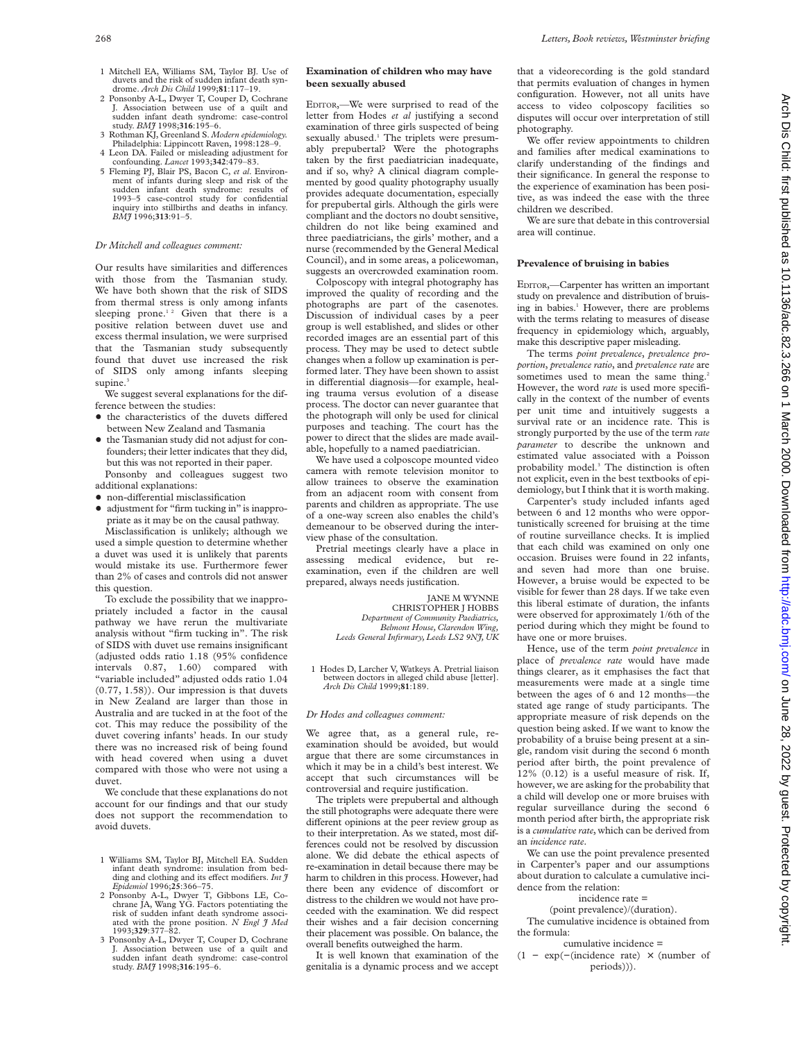- 1 Mitchell EA, Williams SM, Taylor BJ. Use of duvets and the risk of sudden infant death syndrome. *Arch Dis Child* 1999;**81**:117–19.
- 2 Ponsonby A-L, Dwyer T, Couper D, Cochrane J. Association between use of a quilt and sudden infant death syndrome: case-control study. *BMJ* 1998;**316**:195–6.
- 3 Rothman KJ, Greenland S. *Modern epidemiology.* Philadelphia: Lippincott Raven, 1998:128–9.
- 4 Leon DA. Failed or misleading adjustment for confounding. *Lancet* 1993;**342**:479–83.
- 5 Fleming PJ, Blair PS, Bacon C, *et al*. Environment of infants during sleep and risk of the sudden infant death syndrome: results of 1993–5 case-control study for confidential inquiry into stillbirths and deaths in infancy. *BMJ* 1996;**313**:91–5.

#### *Dr Mitchell and colleagues comment:*

Our results have similarities and differences with those from the Tasmanian study. We have both shown that the risk of SIDS from thermal stress is only among infants sleeping prone.<sup>12</sup> Given that there is a positive relation between duvet use and excess thermal insulation, we were surprised that the Tasmanian study subsequently found that duvet use increased the risk of SIDS only among infants sleeping supine. $3$ 

We suggest several explanations for the difference between the studies:

- $\bullet$  the characteristics of the duvets differed between New Zealand and Tasmania
- + the Tasmanian study did not adjust for confounders; their letter indicates that they did, but this was not reported in their paper. Ponsonby and colleagues suggest two additional explanations:
- $\bullet$  non-differential misclassification
- + adjustment for "firm tucking in" is inappro-
- priate as it may be on the causal pathway.

Misclassification is unlikely; although we used a simple question to determine whether a duvet was used it is unlikely that parents would mistake its use. Furthermore fewer than 2% of cases and controls did not answer this question.

To exclude the possibility that we inappropriately included a factor in the causal pathway we have rerun the multivariate analysis without "firm tucking in". The risk of SIDS with duvet use remains insignificant (adjusted odds ratio 1.18 (95% confidence intervals 0.87, 1.60) compared with "variable included" adjusted odds ratio 1.04 (0.77, 1.58)). Our impression is that duvets in New Zealand are larger than those in Australia and are tucked in at the foot of the cot. This may reduce the possibility of the duvet covering infants' heads. In our study there was no increased risk of being found with head covered when using a duvet compared with those who were not using a duvet.

We conclude that these explanations do not account for our findings and that our study does not support the recommendation to avoid duvets.

- 1 Williams SM, Taylor BJ, Mitchell EA. Sudden infant death syndrome: insulation from bedding and clothing and its effect modifiers. *Int J*
- *Epidemiol* 1996;**25**:366–75. 2 Ponsonby A-L, Dwyer T, Gibbons LE, Cochrane JA, Wang YG. Factors potentiating the risk of sudden infant death syndrome associated with the prone position. *N Engl J Med* 1993;**329**:377–82.
- 3 Ponsonby A-L, Dwyer T, Couper D, Cochrane J. Association between use of a quilt and sudden infant death syndrome: case-control study. *BMJ* 1998;**316**:195–6.

## **Examination of children who may have been sexually abused**

EDITOR,—We were surprised to read of the letter from Hodes *et al* justifying a second examination of three girls suspected of being sexually abused.<sup>1</sup> The triplets were presumably prepubertal? Were the photographs taken by the first paediatrician inadequate, and if so, why? A clinical diagram complemented by good quality photography usually provides adequate documentation, especially for prepubertal girls. Although the girls were compliant and the doctors no doubt sensitive, children do not like being examined and three paediatricians, the girls' mother, and a nurse (recommended by the General Medical Council), and in some areas, a policewoman, suggests an overcrowded examination room.

Colposcopy with integral photography has improved the quality of recording and the photographs are part of the casenotes. Discussion of individual cases by a peer group is well established, and slides or other recorded images are an essential part of this process. They may be used to detect subtle changes when a follow up examination is performed later. They have been shown to assist in differential diagnosis—for example, healing trauma versus evolution of a disease process. The doctor can never guarantee that the photograph will only be used for clinical purposes and teaching. The court has the power to direct that the slides are made available, hopefully to a named paediatrician.

We have used a colposcope mounted video camera with remote television monitor to allow trainees to observe the examination from an adjacent room with consent from parents and children as appropriate. The use of a one-way screen also enables the child's demeanour to be observed during the interview phase of the consultation.

Pretrial meetings clearly have a place in assessing medical evidence, but reexamination, even if the children are well prepared, always needs justification.

> JANE M WYNNE CHRISTOPHER J HOBBS *Department of Community Paediatrics, Belmont House, Clarendon Wing, Leeds General Infirmary, Leeds LS2 9NJ, UK*

## 1 Hodes D, Larcher V, Watkeys A. Pretrial liaison between doctors in alleged child abuse [letter]. *Arch Dis Child* 1999;**81**:189.

#### *Dr Hodes and colleagues comment:*

We agree that, as a general rule, reexamination should be avoided, but would argue that there are some circumstances in which it may be in a child's best interest. We accept that such circumstances will be controversial and require justification.

The triplets were prepubertal and although the still photographs were adequate there were different opinions at the peer review group as to their interpretation. As we stated, most differences could not be resolved by discussion alone. We did debate the ethical aspects of re-examination in detail because there may be harm to children in this process. However, had there been any evidence of discomfort or distress to the children we would not have proceeded with the examination. We did respect their wishes and a fair decision concerning their placement was possible. On balance, the overall benefits outweighed the harm.

It is well known that examination of the genitalia is a dynamic process and we accept

that a videorecording is the gold standard that permits evaluation of changes in hymen configuration. However, not all units have access to video colposcopy facilities so disputes will occur over interpretation of still photography.

We offer review appointments to children and families after medical examinations to clarify understanding of the findings and their significance. In general the response to the experience of examination has been positive, as was indeed the ease with the three children we described.

We are sure that debate in this controversial area will continue.

#### **Prevalence of bruising in babies**

EDITOR,—Carpenter has written an important study on prevalence and distribution of bruising in babies.<sup>1</sup> However, there are problems with the terms relating to measures of disease frequency in epidemiology which, arguably, make this descriptive paper misleading.

The terms *point prevalence*, *prevalence proportion*, *prevalence ratio*, and *prevalence rate* are sometimes used to mean the same thing.<sup>2</sup> However, the word *rate* is used more specifically in the context of the number of events per unit time and intuitively suggests a survival rate or an incidence rate. This is strongly purported by the use of the term *rate parameter* to describe the unknown and estimated value associated with a Poisson probability model.<sup>3</sup> The distinction is often not explicit, even in the best textbooks of epidemiology, but I think that it is worth making.

Carpenter's study included infants aged between 6 and 12 months who were opportunistically screened for bruising at the time of routine surveillance checks. It is implied that each child was examined on only one occasion. Bruises were found in 22 infants, and seven had more than one bruise. However, a bruise would be expected to be visible for fewer than 28 days. If we take even this liberal estimate of duration, the infants were observed for approximately 1/6th of the period during which they might be found to have one or more bruises.

Hence, use of the term *point prevalence* in place of *prevalence rate* would have made things clearer, as it emphasises the fact that measurements were made at a single time between the ages of 6 and 12 months—the stated age range of study participants. The appropriate measure of risk depends on the question being asked. If we want to know the probability of a bruise being present at a single, random visit during the second 6 month period after birth, the point prevalence of 12% (0.12) is a useful measure of risk. If, however, we are asking for the probability that a child will develop one or more bruises with regular surveillance during the second 6 month period after birth, the appropriate risk is a *cumulative rate*, which can be derived from an *incidence rate*.

We can use the point prevalence presented in Carpenter's paper and our assumptions about duration to calculate a cumulative incidence from the relation:

#### incidence rate =

(point prevalence)/(duration). The cumulative incidence is obtained from the formula:

cumulative incidence =

(1 − exp(−(incidence rate) × (number of periods))).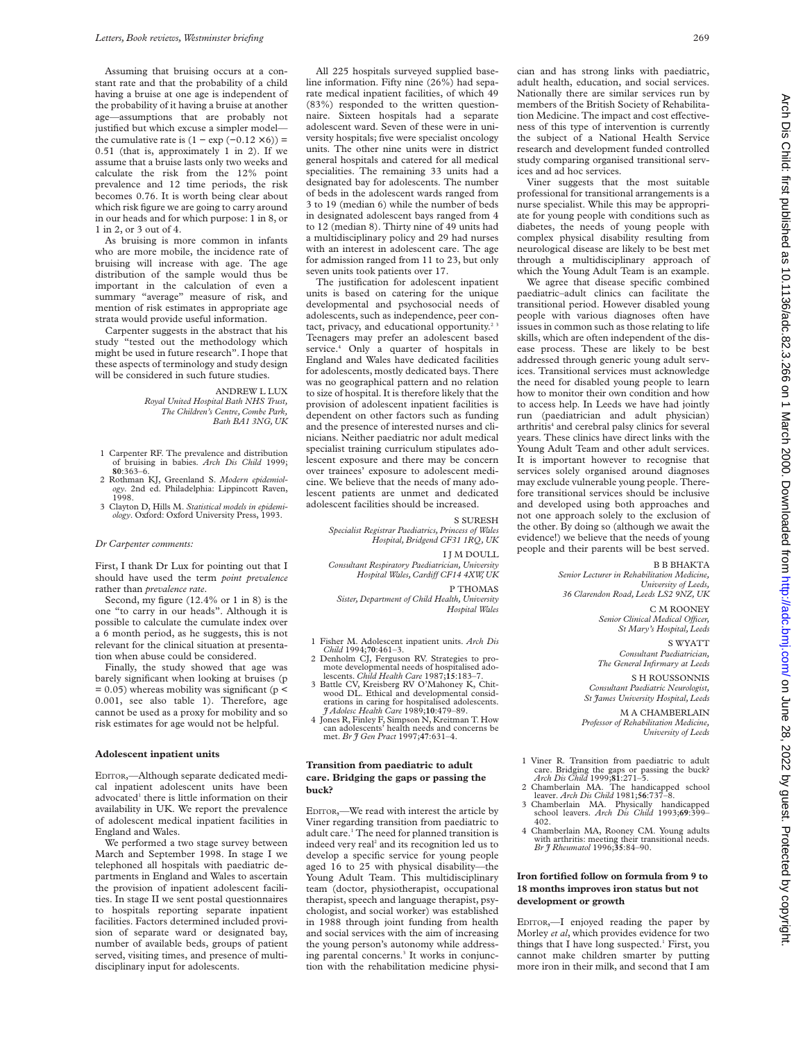Assuming that bruising occurs at a constant rate and that the probability of a child having a bruise at one age is independent of the probability of it having a bruise at another age—assumptions that are probably not justified but which excuse a simpler model the cumulative rate is  $(1 - \exp(-0.12 \times 6)) =$ 0.51 (that is, approximately 1 in 2). If we assume that a bruise lasts only two weeks and calculate the risk from the 12% point prevalence and 12 time periods, the risk becomes 0.76. It is worth being clear about which risk figure we are going to carry around in our heads and for which purpose: 1 in 8, or 1 in 2, or 3 out of 4.

As bruising is more common in infants who are more mobile, the incidence rate of bruising will increase with age. The age distribution of the sample would thus be important in the calculation of even a summary "average" measure of risk, and mention of risk estimates in appropriate age strata would provide useful information.

Carpenter suggests in the abstract that his study "tested out the methodology which might be used in future research". I hope that these aspects of terminology and study design will be considered in such future studies.

ANDREW L LUX

*Royal United Hospital Bath NHS Trust, The Children's Centre, Combe Park, Bath BA1 3NG, UK*

- 1 Carpenter RF. The prevalence and distribution of bruising in babies. *Arch Dis Child* 1999;
- **80**:363–6. 2 Rothman KJ, Greenland S. *Modern epidemiology*. 2nd ed. Philadelphia: Lippincott Raven, 1998.
- 3 Clayton D, Hills M. *Statistical models in epidemiology*. Oxford: Oxford University Press, 1993.

#### *Dr Carpenter comments:*

First, I thank Dr Lux for pointing out that I should have used the term *point prevalence* rather than *prevalence rate*.

Second, my figure (12.4% or 1 in 8) is the one "to carry in our heads". Although it is possible to calculate the cumulate index over a 6 month period, as he suggests, this is not relevant for the clinical situation at presentation when abuse could be considered.

Finally, the study showed that age was barely significant when looking at bruises (p  $= 0.05$ ) whereas mobility was significant (p < 0.001, see also table 1). Therefore, age cannot be used as a proxy for mobility and so risk estimates for age would not be helpful.

#### **Adolescent inpatient units**

EDITOR,—Although separate dedicated medical inpatient adolescent units have been advocated<sup>1</sup> there is little information on their availability in UK. We report the prevalence of adolescent medical inpatient facilities in England and Wales.

We performed a two stage survey between March and September 1998. In stage I we telephoned all hospitals with paediatric departments in England and Wales to ascertain the provision of inpatient adolescent facilities. In stage II we sent postal questionnaires to hospitals reporting separate inpatient facilities. Factors determined included provision of separate ward or designated bay, number of available beds, groups of patient served, visiting times, and presence of multidisciplinary input for adolescents.

All 225 hospitals surveyed supplied baseline information. Fifty nine (26%) had separate medical inpatient facilities, of which 49 (83%) responded to the written questionnaire. Sixteen hospitals had a separate adolescent ward. Seven of these were in university hospitals; five were specialist oncology units. The other nine units were in district general hospitals and catered for all medical specialities. The remaining 33 units had a designated bay for adolescents. The number of beds in the adolescent wards ranged from 3 to 19 (median 6) while the number of beds in designated adolescent bays ranged from 4 to 12 (median 8). Thirty nine of 49 units had a multidisciplinary policy and 29 had nurses with an interest in adolescent care. The age for admission ranged from 11 to 23, but only seven units took patients over 17.

The justification for adolescent inpatient units is based on catering for the unique developmental and psychosocial needs of adolescents, such as independence, peer contact, privacy, and educational opportunity.<sup>2</sup> Teenagers may prefer an adolescent based service.<sup>4</sup> Only a quarter of hospitals in England and Wales have dedicated facilities for adolescents, mostly dedicated bays. There was no geographical pattern and no relation to size of hospital. It is therefore likely that the provision of adolescent inpatient facilities is dependent on other factors such as funding and the presence of interested nurses and clinicians. Neither paediatric nor adult medical specialist training curriculum stipulates adolescent exposure and there may be concern over trainees' exposure to adolescent medicine. We believe that the needs of many adolescent patients are unmet and dedicated adolescent facilities should be increased.

S SURESH

*Specialist Registrar Paediatrics, Princess of Wales Hospital, Bridgend CF31 1RQ, UK*

#### I J M DOULL

*Consultant Respiratory Paediatrician, University Hospital Wales, CardiV CF14 4XW, UK*

#### P THOMAS

*Sister, Department of Child Health, University Hospital Wales*

- 1 Fisher M. Adolescent inpatient units. *Arch Dis Child* 1994;**70**:461–3.
- 2 Denholm CJ, Ferguson RV. Strategies to pro-
- mote developmental needs of hospitalised ado-<br>lescents. *Child Health Care* 1987;**15**:183–7.<br>3 Battle CV, Kreisberg RV O'Mahoney K, Chit-<br>wood DL. Ethical and developmental considerations in caring for hospitalised adolescents. *J Adolesc Health Care* 1989;**10**:479–89.
- 4 Jones R, Finley F, Simpson N, Kreitman T. How can adolescents' health needs and concerns be met. *Br J Gen Pract* 1997;**47**:631–4.

## **Transition from paediatric to adult care. Bridging the gaps or passing the buck?**

EDITOR,—We read with interest the article by Viner regarding transition from paediatric to adult care.<sup>1</sup> The need for planned transition is indeed very real<sup>2</sup> and its recognition led us to develop a specific service for young people aged 16 to 25 with physical disability—the Young Adult Team. This multidisciplinary team (doctor, physiotherapist, occupational therapist, speech and language therapist, psychologist, and social worker) was established in 1988 through joint funding from health and social services with the aim of increasing the young person's autonomy while addressing parental concerns.<sup>3</sup> It works in conjunction with the rehabilitation medicine physi-

cian and has strong links with paediatric, adult health, education, and social services. Nationally there are similar services run by members of the British Society of Rehabilitation Medicine. The impact and cost effectiveness of this type of intervention is currently the subject of a National Health Service research and development funded controlled study comparing organised transitional services and ad hoc services.

Viner suggests that the most suitable professional for transitional arrangements is a nurse specialist. While this may be appropriate for young people with conditions such as diabetes, the needs of young people with complex physical disability resulting from neurological disease are likely to be best met through a multidisciplinary approach of which the Young Adult Team is an example.

We agree that disease specific combined paediatric–adult clinics can facilitate the transitional period. However disabled young people with various diagnoses often have issues in common such as those relating to life skills, which are often independent of the disease process. These are likely to be best addressed through generic young adult services. Transitional services must acknowledge the need for disabled young people to learn how to monitor their own condition and how to access help. In Leeds we have had jointly run (paediatrician and adult physician) arthritis<sup>4</sup> and cerebral palsy clinics for several years. These clinics have direct links with the Young Adult Team and other adult services. It is important however to recognise that services solely organised around diagnoses may exclude vulnerable young people. Therefore transitional services should be inclusive and developed using both approaches and not one approach solely to the exclusion of the other. By doing so (although we await the evidence!) we believe that the needs of young people and their parents will be best served.

#### B B BHAKTA

*Senior Lecturer in Rehabilitation Medicine, University of Leeds, 36 Clarendon Road, Leeds LS2 9NZ, UK*

C M ROONEY *Senior Clinical Medical Officer,* 

*St Mary's Hospital, Leeds*

S WYATT *Consultant Paediatrician, The General Infirmary at Leeds*

S H ROUSSONNIS *Consultant Paediatric Neurologist,*

*St James University Hospital, Leeds*

M A CHAMBERLAIN *Professor of Rehabilitation Medicine, University of Leeds*

- 1 Viner R. Transition from paediatric to adult care. Bridging the gaps or passing the buck? *Arch Dis Child* 1999;**81**:271–5.
- 
- 2 Chamberlain MA. The handicapped school leaver. *Arch Dis Child* 1981;**56**:737–8. 3 Chamberlain MA. Physically handicapped school leavers. *Arch Dis Child* 1993;**69**:399– 402.
- 4 Chamberlain MA, Rooney CM. Young adults with arthritis: meeting their transitional needs. *Br J Rheumatol* 1996;**35**:84–90.

## **Iron fortified follow on formula from 9 to 18 months improves iron status but not development or growth**

EDITOR,—I enjoyed reading the paper by Morley *et al*, which provides evidence for two things that I have long suspected. $1$  First, you cannot make children smarter by putting more iron in their milk, and second that I am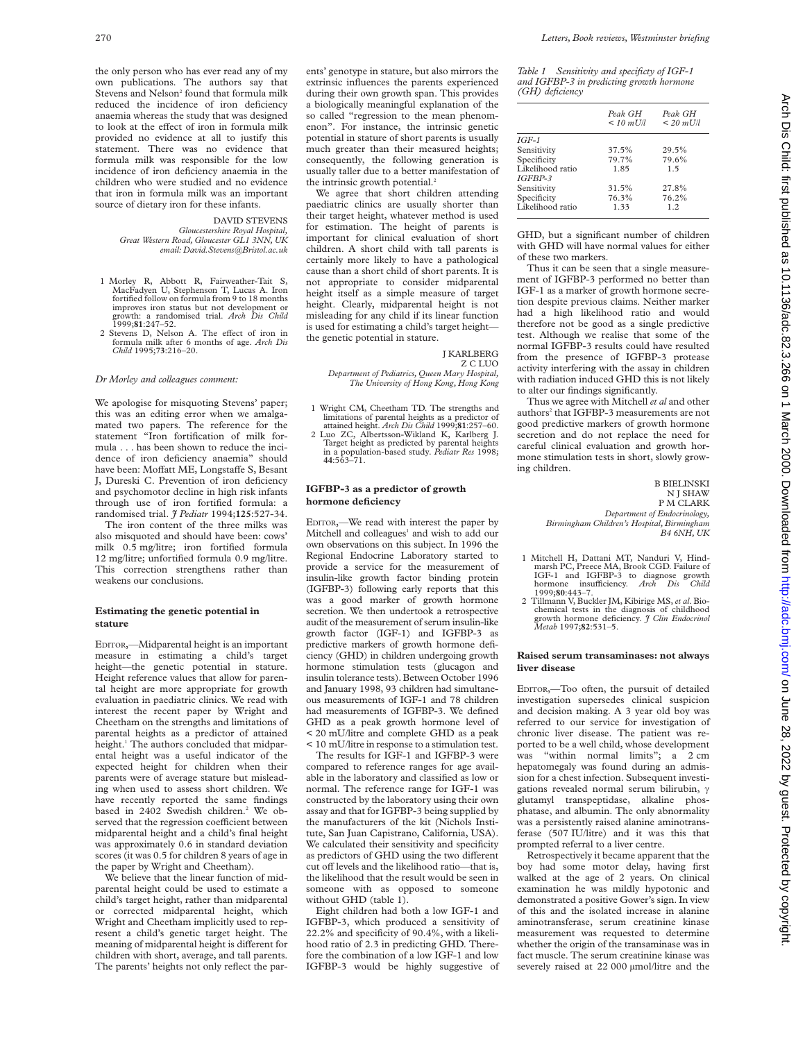the only person who has ever read any of my own publications. The authors say that Stevens and Nelson<sup>2</sup> found that formula milk reduced the incidence of iron deficiency anaemia whereas the study that was designed to look at the effect of iron in formula milk provided no evidence at all to justify this statement. There was no evidence that formula milk was responsible for the low incidence of iron deficiency anaemia in the children who were studied and no evidence that iron in formula milk was an important source of dietary iron for these infants.

#### DAVID STEVENS

*Gloucestershire Royal Hospital, Great Western Road, Gloucester GL1 3NN, UK email: David.Stevens@Bristol.ac.uk*

- 1 Morley R, Abbott R, Fairweather-Tait S, MacFadyen U, Stephenson T, Lucas A. Iron fortified follow on formula from 9 to 18 months improves iron status but not development or growth: a randomised trial. *Arch Dis Child* 1999;**81**:247–52.
- 2 Stevens D, Nelson A. The effect of iron in formula milk after 6 months of age. *Arch Dis Child* 1995;**73**:216–20.

*Dr Morley and colleagues comment:*

We apologise for misquoting Stevens' paper; this was an editing error when we amalgamated two papers. The reference for the statement "Iron fortification of milk formula . . . has been shown to reduce the incidence of iron deficiency anaemia" should have been: Moffatt ME, Longstaffe S, Besant J, Dureski C. Prevention of iron deficiency and psychomotor decline in high risk infants through use of iron fortified formula: a randomised trial. *J Pediatr* 1994;**125**:527-34.

The iron content of the three milks was also misquoted and should have been: cows' milk 0.5 mg/litre; iron fortified formula 12 mg/litre; unfortified formula 0.9 mg/litre. This correction strengthens rather than weakens our conclusions.

## **Estimating the genetic potential in stature**

EDITOR,—Midparental height is an important measure in estimating a child's target height—the genetic potential in stature. Height reference values that allow for parental height are more appropriate for growth evaluation in paediatric clinics. We read with interest the recent paper by Wright and Cheetham on the strengths and limitations of parental heights as a predictor of attained height.<sup>1</sup> The authors concluded that midparental height was a useful indicator of the expected height for children when their parents were of average stature but misleading when used to assess short children. We have recently reported the same findings based in 2402 Swedish children.<sup>2</sup> We observed that the regression coefficient between midparental height and a child's final height was approximately 0.6 in standard deviation scores (it was 0.5 for children 8 years of age in the paper by Wright and Cheetham).

We believe that the linear function of midparental height could be used to estimate a child's target height, rather than midparental or corrected midparental height, which Wright and Cheetham implicitly used to represent a child's genetic target height. The meaning of midparental height is different for children with short, average, and tall parents. The parents' heights not only reflect the parents' genotype in stature, but also mirrors the extrinsic influences the parents experienced during their own growth span. This provides a biologically meaningful explanation of the so called "regression to the mean phenomenon". For instance, the intrinsic genetic potential in stature of short parents is usually much greater than their measured heights; consequently, the following generation is usually taller due to a better manifestation of the intrinsic growth potential.<sup>2</sup>

We agree that short children attending paediatric clinics are usually shorter than their target height, whatever method is used for estimation. The height of parents is important for clinical evaluation of short children. A short child with tall parents is certainly more likely to have a pathological cause than a short child of short parents. It is not appropriate to consider midparental height itself as a simple measure of target height. Clearly, midparental height is not misleading for any child if its linear function is used for estimating a child's target height the genetic potential in stature.

> J KARLBERG Z C LUO

*Department of Pediatrics, Queen Mary Hospital, The University of Hong Kong, Hong Kong*

- 1 Wright CM, Cheetham TD. The strengths and limitations of parental heights as a predictor of attained height. *Arch Dis Child* 1999;**81**:257–60.
- 2 Luo ZC, Albertsson-Wikland K, Karlberg J. Target height as predicted by parental heights in a population-based study*. Pediatr Res* 1998; **44**:563–71.

## **IGFBP-3 as a predictor of growth hormone deficiency**

EDITOR,—We read with interest the paper by Mitchell and colleagues<sup>1</sup> and wish to add our own observations on this subject. In 1996 the Regional Endocrine Laboratory started to provide a service for the measurement of insulin-like growth factor binding protein (IGFBP-3) following early reports that this was a good marker of growth hormone secretion. We then undertook a retrospective audit of the measurement of serum insulin-like growth factor (IGF-1) and IGFBP-3 as predictive markers of growth hormone deficiency (GHD) in children undergoing growth hormone stimulation tests (glucagon and insulin tolerance tests). Between October 1996 and January 1998, 93 children had simultaneous measurements of IGF-1 and 78 children had measurements of IGFBP-3. We defined GHD as a peak growth hormone level of < 20 mU/litre and complete GHD as a peak < 10 mU/litre in response to a stimulation test.

The results for IGF-1 and IGFBP-3 were compared to reference ranges for age available in the laboratory and classified as low or normal. The reference range for IGF-1 was constructed by the laboratory using their own assay and that for IGFBP-3 being supplied by the manufacturers of the kit (Nichols Institute, San Juan Capistrano, California, USA). We calculated their sensitivity and specificity as predictors of GHD using the two different cut off levels and the likelihood ratio—that is, the likelihood that the result would be seen in someone with as opposed to someone without GHD (table 1).

Eight children had both a low IGF-1 and IGFBP-3, which produced a sensitivity of 22.2% and specificity of 90.4%, with a likelihood ratio of 2.3 in predicting GHD. Therefore the combination of a low IGF-1 and low IGFBP-3 would be highly suggestive of *Table 1 Sensitivity and specificty of IGF-1 and IGFBP-3 in predicting growth hormone (GH) deficiency*

|                  | Peak GH<br>$< 10 m$ Ull | Peak GH<br>$\leq$ 20 mUll |
|------------------|-------------------------|---------------------------|
| IGF-1            |                         |                           |
| Sensitivity      | 37.5%                   | 29.5%                     |
| Specificity      | 79.7%                   | 79.6%                     |
| Likelihood ratio | 1.85                    | 1.5                       |
| IGFBP-3          |                         |                           |
| Sensitivity      | 31.5%                   | 27.8%                     |
| Specificity      | 76.3%                   | 76.2%                     |
| Likelihood ratio | 1.33                    | 1.2                       |
|                  |                         |                           |

GHD, but a significant number of children with GHD will have normal values for either of these two markers.

Thus it can be seen that a single measurement of IGFBP-3 performed no better than IGF-1 as a marker of growth hormone secretion despite previous claims. Neither marker had a high likelihood ratio and would therefore not be good as a single predictive test. Although we realise that some of the normal IGFBP-3 results could have resulted from the presence of IGFBP-3 protease activity interfering with the assay in children with radiation induced GHD this is not likely to alter our findings significantly.

Thus we agree with Mitchell *et al* and other authors<sup>2</sup> that IGFBP-3 measurements are not good predictive markers of growth hormone secretion and do not replace the need for careful clinical evaluation and growth hormone stimulation tests in short, slowly growing children.

> B BIELINSKI N J SHAW P M CLARK *Department of Endocrinology, Birmingham Children's Hospital, Birmingham B4 6NH, UK*

- 1 Mitchell H, Dattani MT, Nanduri V, Hindmarsh PC, Preece MA, Brook CGD. Failure of IGF-1 and IGFBP-3 to diagnose growth<br>hormone insufficiency. Arch Dis Child 1999;**80**:443–7.
- 2 Tillmann V, Buckler JM, Kibirige MS, *et al*. Biochemical tests in the diagnosis of childhood growth hormone deficiency. *J Clin Endocrinol Metab* 1997;**82**:531–5.

## **Raised serum transaminases: not always liver disease**

EDITOR,—Too often, the pursuit of detailed investigation supersedes clinical suspicion and decision making. A 3 year old boy was referred to our service for investigation of chronic liver disease. The patient was reported to be a well child, whose development was "within normal limits"; a 2 cm hepatomegaly was found during an admission for a chest infection. Subsequent investigations revealed normal serum bilirubin,  $\gamma$ glutamyl transpeptidase, alkaline phosphatase, and albumin. The only abnormality was a persistently raised alanine aminotransferase (507 IU/litre) and it was this that prompted referral to a liver centre.

Retrospectively it became apparent that the boy had some motor delay, having first walked at the age of 2 years. On clinical examination he was mildly hypotonic and demonstrated a positive Gower's sign. In view of this and the isolated increase in alanine aminotransferase, serum creatinine kinase measurement was requested to determine whether the origin of the transaminase was in fact muscle. The serum creatinine kinase was severely raised at 22 000 µmol/litre and the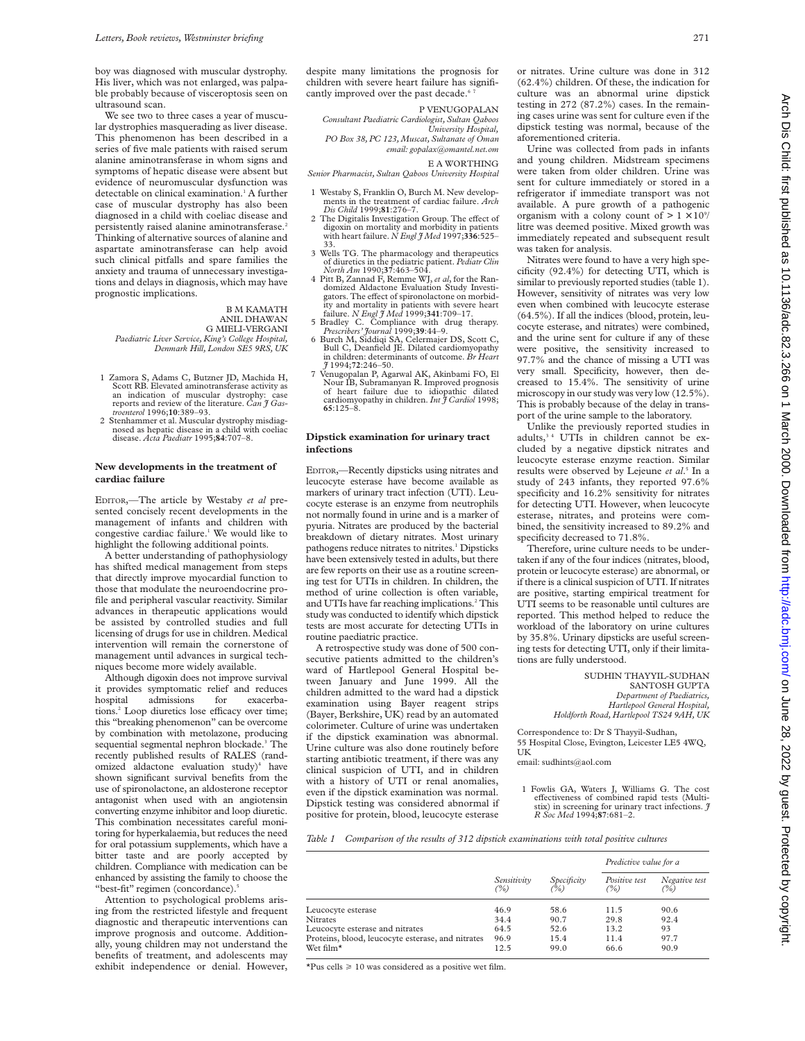boy was diagnosed with muscular dystrophy. His liver, which was not enlarged, was palpable probably because of visceroptosis seen on ultrasound scan.

We see two to three cases a year of muscular dystrophies masquerading as liver disease. This phenomenon has been described in a series of five male patients with raised serum alanine aminotransferase in whom signs and symptoms of hepatic disease were absent but evidence of neuromuscular dysfunction was detectable on clinical examination.<sup>1</sup> A further case of muscular dystrophy has also been diagnosed in a child with coeliac disease and persistently raised alanine aminotransferase.<sup>2</sup> Thinking of alternative sources of alanine and aspartate aminotransferase can help avoid such clinical pitfalls and spare families the anxiety and trauma of unnecessary investigations and delays in diagnosis, which may have prognostic implications.

> B M KAMATH ANIL DHAWAN G MIELI-VERGANI *Paediatric Liver Service, King's College Hospital, Denmark Hill, London SE5 9RS, UK*

- 1 Zamora S, Adams C, Butzner JD, Machida H, Scott RB. Elevated aminotransferase activity as an indication of muscular dystrophy: case reports and review of the literature. *Can J Gastroenterol* 1996;**10**:389–93.
- 2 Stenhammer et al. Muscular dystrophy misdiagnosed as hepatic disease in a child with coeliac disease. *Acta Paediatr* 1995;**84**:707–8.

## **New developments in the treatment of cardiac failure**

EDITOR,—The article by Westaby *et al* presented concisely recent developments in the management of infants and children with congestive cardiac failure.<sup>1</sup> We would like to highlight the following additional points.

A better understanding of pathophysiology has shifted medical management from steps that directly improve myocardial function to those that modulate the neuroendocrine profile and peripheral vascular reactivity. Similar advances in therapeutic applications would be assisted by controlled studies and full licensing of drugs for use in children. Medical intervention will remain the cornerstone of management until advances in surgical techniques become more widely available.

Although digoxin does not improve survival it provides symptomatic relief and reduces hospital admissions for exacerbations.<sup>2</sup> Loop diuretics lose efficacy over time; this "breaking phenomenon" can be overcome by combination with metolazone, producing sequential segmental nephron blockade.<sup>3</sup> The recently published results of RALES (randomized aldactone evaluation  $study)^4$  have shown significant survival benefits from the use of spironolactone, an aldosterone receptor antagonist when used with an angiotensin converting enzyme inhibitor and loop diuretic. This combination necessitates careful monitoring for hyperkalaemia, but reduces the need for oral potassium supplements, which have a bitter taste and are poorly accepted by children. Compliance with medication can be enhanced by assisting the family to choose the "best-fit" regimen (concordance).5

Attention to psychological problems arising from the restricted lifestyle and frequent diagnostic and therapeutic interventions can improve prognosis and outcome. Additionally, young children may not understand the benefits of treatment, and adolescents may exhibit independence or denial. However, despite many limitations the prognosis for children with severe heart failure has significantly improved over the past decade.<sup>6</sup>

P VENUGOPALAN

*Consultant Paediatric Cardiologist, Sultan Qaboos University Hospital, PO Box 38, PC 123, Muscat, Sultanate of Oman email: gopalax@omantel.net.om*

E A WORTHING

*Senior Pharmacist, Sultan Qaboos University Hospital*

- 1 Westaby S, Franklin O, Burch M. New developments in the treatment of cardiac failure. *Arch*<br>*Dis Child* 1999:81:276-7
- 2 The Digitalis Investigation Group. The effect of digoxin on mortality and morbidity in patients with heart failure. *N Engl J Med* 1997;**336**:525– 33.
- 3 Wells TG. The pharmacology and therapeutics of diuretics in the pediatric patient. *Pediatr Clin North Am* 1990;**37**:463–504.
- 4 Pitt B, Zannad F, Remme WJ, *et al*, for the Randomized Aldactone Evaluation Study Investigators. The effect of spironolactone on morbid-<br>ity and mortality in patients with severe heart<br>failure. N *Engl j Med* 1999;341:709-17.<br>5 Bradley C. Compliance with drug therapy.<br>*Prescribers' Journal* 1999;39:44-9.
- 
- 6 Burch M, Siddiqi SA, Celermajer DS, Scott C, Bull C, Deanfield JE. Dilated cardiomyopathy in children: determinants of outcome. *Br Heart J* 1994;**72**:246–50.
- 7 Venugopalan P, Agarwal AK, Akinbami FO, El Nour IB, Subramanyan R. Improved prognosis of heart failure due to idiopathic dilated cardiomyopathy in children. *Int J Cardiol* 1998; **65**:125–8.

## **Dipstick examination for urinary tract infections**

EDITOR,—Recently dipsticks using nitrates and leucocyte esterase have become available as markers of urinary tract infection (UTI). Leucocyte esterase is an enzyme from neutrophils not normally found in urine and is a marker of pyuria. Nitrates are produced by the bacterial breakdown of dietary nitrates. Most urinary pathogens reduce nitrates to nitrites.<sup>1</sup> Dipsticks have been extensively tested in adults, but there are few reports on their use as a routine screening test for UTIs in children. In children, the method of urine collection is often variable, and UTIs have far reaching implications.<sup>2</sup> This study was conducted to identify which dipstick tests are most accurate for detecting UTIs in routine paediatric practice.

A retrospective study was done of 500 consecutive patients admitted to the children's ward of Hartlepool General Hospital between January and June 1999. All the children admitted to the ward had a dipstick examination using Bayer reagent strips (Bayer, Berkshire, UK) read by an automated colorimeter. Culture of urine was undertaken if the dipstick examination was abnormal. Urine culture was also done routinely before starting antibiotic treatment, if there was any clinical suspicion of UTI, and in children with a history of UTI or renal anomalies, even if the dipstick examination was normal. Dipstick testing was considered abnormal if positive for protein, blood, leucocyte esterase

or nitrates. Urine culture was done in 312 (62.4%) children. Of these, the indication for culture was an abnormal urine dipstick testing in 272 (87.2%) cases. In the remaining cases urine was sent for culture even if the dipstick testing was normal, because of the aforementioned criteria.

Urine was collected from pads in infants and young children. Midstream specimens were taken from older children. Urine was sent for culture immediately or stored in a refrigerator if immediate transport was not available. A pure growth of a pathogenic organism with a colony count of  $> 1 \times 10^9$ / litre was deemed positive. Mixed growth was immediately repeated and subsequent result was taken for analysis.

Nitrates were found to have a very high specificity (92.4%) for detecting UTI, which is similar to previously reported studies (table 1). However, sensitivity of nitrates was very low even when combined with leucocyte esterase (64.5%). If all the indices (blood, protein, leucocyte esterase, and nitrates) were combined, and the urine sent for culture if any of these were positive, the sensitivity increased to 97.7% and the chance of missing a UTI was very small. Specificity, however, then decreased to 15.4%. The sensitivity of urine microscopy in our study was very low (12.5%). This is probably because of the delay in transport of the urine sample to the laboratory.

Unlike the previously reported studies in adults,<sup>34</sup> UTIs in children cannot be excluded by a negative dipstick nitrates and leucocyte esterase enzyme reaction. Similar results were observed by Lejeune *et al*. <sup>5</sup> In a study of 243 infants, they reported 97.6% specificity and 16.2% sensitivity for nitrates for detecting UTI. However, when leucocyte esterase, nitrates, and proteins were combined, the sensitivity increased to 89.2% and specificity decreased to 71.8%.

Therefore, urine culture needs to be undertaken if any of the four indices (nitrates, blood, protein or leucocyte esterase) are abnormal, or if there is a clinical suspicion of UTI. If nitrates are positive, starting empirical treatment for UTI seems to be reasonable until cultures are reported. This method helped to reduce the workload of the laboratory on urine cultures by 35.8%. Urinary dipsticks are useful screening tests for detecting UTI, only if their limitations are fully understood.

> SUDHIN THAYYIL-SUDHAN SANTOSH GUPTA *Department of Paediatrics, Hartlepool General Hospital, Holdforth Road, Hartlepool TS24 9AH, UK*

Correspondence to: Dr S Thayyil-Sudhan, 55 Hospital Close, Evington, Leicester LE5 4WQ, UK

email: sudhints@aol.com

1 Fowlis GA, Waters J, Williams G. The cost effectiveness of combined rapid tests (Multistix) in screening for urinary tract infections. *J R Soc Med* 1994;**87**:681–2.

*Table 1 Comparison of the results of 312 dipstick examinations with total positive cultures*

|                                                   |                    |                    | Predictive value for a |                      |
|---------------------------------------------------|--------------------|--------------------|------------------------|----------------------|
|                                                   | Sensitivity<br>(%) | Specificity<br>(%) | Positive test<br>(%)   | Negative test<br>(%) |
| Leucocyte esterase                                | 46.9               | 58.6               | 11.5                   | 90.6                 |
| <b>Nitrates</b>                                   | 34.4               | 90.7               | 29.8                   | 92.4                 |
| Leucocyte esterase and nitrates                   | 64.5               | 52.6               | 13.2                   | 93                   |
| Proteins, blood, leucocyte esterase, and nitrates | 96.9               | 15.4               | 11.4                   | 97.7                 |
| Wet film <sup>*</sup>                             | 12.5               | 99.0               | 66.6                   | 90.9                 |

\*Pus cells  $\geq 10$  was considered as a positive wet film.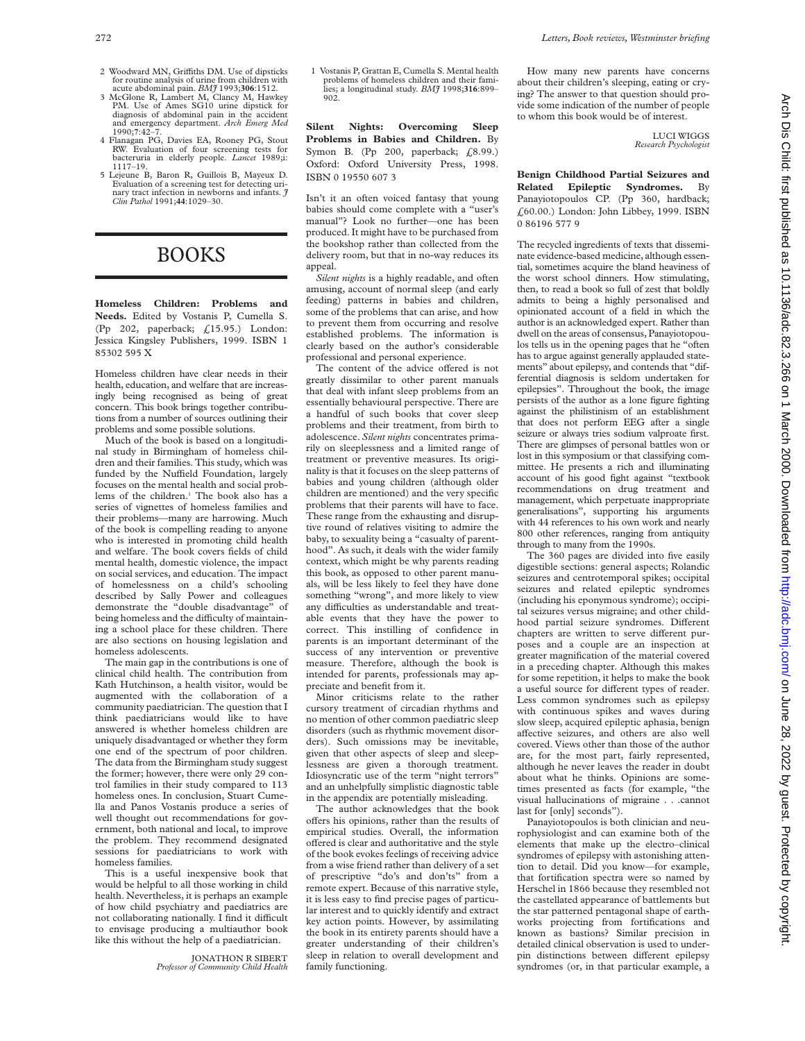- 2 Woodward MN, Griffiths DM. Use of dipsticks for routine analysis of urine from children with acute abdominal pain. *BMJ* 1993;**306**:1512.
- 3 McGlone R, Lambert M, Clancy M, Hawkey PM. Use of Ames SG10 urine dipstick for diagnosis of abdominal pain in the accident and emergency department. *Arch Emerg Med* 1990;7:42
- 4 Flanagan PG, Davies EA, Rooney PG, Stout RW. Evaluation of four screening tests for bacteruria in elderly people. *Lancet* 1989;i: 1117–19.
- 5 Lejeune B, Baron R, Guillois B, Mayeux D. Evaluation of a screening test for detecting uri-nary tract infection in newborns and infants. *J Clin Pathol* 1991;**44**:1029–30.

## BOOKS

**Homeless Children: Problems and Needs.** Edited by Vostanis P, Cumella S. (Pp 202, paperback; £15.95.) London: Jessica Kingsley Publishers, 1999. ISBN 1 85302 595 X

Homeless children have clear needs in their health, education, and welfare that are increasingly being recognised as being of great concern. This book brings together contributions from a number of sources outlining their problems and some possible solutions.

Much of the book is based on a longitudinal study in Birmingham of homeless children and their families. This study, which was funded by the Nuffield Foundation, largely focuses on the mental health and social problems of the children.<sup>1</sup> The book also has a series of vignettes of homeless families and their problems—many are harrowing. Much of the book is compelling reading to anyone who is interested in promoting child health and welfare. The book covers fields of child mental health, domestic violence, the impact on social services, and education. The impact of homelessness on a child's schooling described by Sally Power and colleagues demonstrate the "double disadvantage" of being homeless and the difficulty of maintaining a school place for these children. There are also sections on housing legislation and homeless adolescents.

The main gap in the contributions is one of clinical child health. The contribution from Kath Hutchinson, a health visitor, would be augmented with the collaboration of a community paediatrician. The question that I think paediatricians would like to have answered is whether homeless children are uniquely disadvantaged or whether they form one end of the spectrum of poor children. The data from the Birmingham study suggest the former; however, there were only 29 control families in their study compared to 113 homeless ones. In conclusion, Stuart Cumella and Panos Vostanis produce a series of well thought out recommendations for government, both national and local, to improve the problem. They recommend designated sessions for paediatricians to work with homeless families.

This is a useful inexpensive book that would be helpful to all those working in child health. Nevertheless, it is perhaps an example of how child psychiatry and paediatrics are not collaborating nationally. I find it difficult to envisage producing a multiauthor book like this without the help of a paediatrician.

> JONATHON R SIBERT *Professor of Community Child Health*

1 Vostanis P, Grattan E, Cumella S. Mental health problems of homeless children and their families; a longitudinal study. *BMJ* 1998;**316**:899– 902.

**Silent Nights: Overcoming Sleep Problems in Babies and Children.** By Symon B. (Pp 200, paperback; £8.99.) Oxford: Oxford University Press, 1998. ISBN 0 19550 607 3

Isn't it an often voiced fantasy that young babies should come complete with a "user's manual"? Look no further—one has been produced. It might have to be purchased from the bookshop rather than collected from the delivery room, but that in no-way reduces its appeal.

*Silent nights* is a highly readable, and often amusing, account of normal sleep (and early feeding) patterns in babies and children, some of the problems that can arise, and how to prevent them from occurring and resolve established problems. The information is clearly based on the author's considerable professional and personal experience.

The content of the advice offered is not greatly dissimilar to other parent manuals that deal with infant sleep problems from an essentially behavioural perspective. There are a handful of such books that cover sleep problems and their treatment, from birth to adolescence. *Silent nights* concentrates primarily on sleeplessness and a limited range of treatment or preventive measures. Its originality is that it focuses on the sleep patterns of babies and young children (although older children are mentioned) and the very specific problems that their parents will have to face. These range from the exhausting and disruptive round of relatives visiting to admire the baby, to sexuality being a "casualty of parenthood". As such, it deals with the wider family context, which might be why parents reading this book, as opposed to other parent manuals, will be less likely to feel they have done something "wrong", and more likely to view any difficulties as understandable and treatable events that they have the power to correct. This instilling of confidence in parents is an important determinant of the success of any intervention or preventive measure. Therefore, although the book is intended for parents, professionals may appreciate and benefit from it.

Minor criticisms relate to the rather cursory treatment of circadian rhythms and no mention of other common paediatric sleep disorders (such as rhythmic movement disorders). Such omissions may be inevitable, given that other aspects of sleep and sleeplessness are given a thorough treatment. Idiosyncratic use of the term "night terrors" and an unhelpfully simplistic diagnostic table in the appendix are potentially misleading.

The author acknowledges that the book offers his opinions, rather than the results of empirical studies. Overall, the information offered is clear and authoritative and the style of the book evokes feelings of receiving advice from a wise friend rather than delivery of a set of prescriptive "do's and don'ts" from a remote expert. Because of this narrative style, it is less easy to find precise pages of particular interest and to quickly identify and extract key action points. However, by assimilating the book in its entirety parents should have a greater understanding of their children's sleep in relation to overall development and family functioning.

How many new parents have concerns about their children's sleeping, eating or crying? The answer to that question should provide some indication of the number of people to whom this book would be of interest.

> LUCI WIGGS *Research Psychologist*

**Benign Childhood Partial Seizures and Related Epileptic Syndromes.** By Panayiotopoulos CP. (Pp 360, hardback; £60.00.) London: John Libbey, 1999. ISBN 0 86196 577 9

The recycled ingredients of texts that disseminate evidence-based medicine, although essential, sometimes acquire the bland heaviness of the worst school dinners. How stimulating, then, to read a book so full of zest that boldly admits to being a highly personalised and opinionated account of a field in which the author is an acknowledged expert. Rather than dwell on the areas of consensus, Panayiotopoulos tells us in the opening pages that he "often has to argue against generally applauded statements" about epilepsy, and contends that "differential diagnosis is seldom undertaken for epilepsies". Throughout the book, the image persists of the author as a lone figure fighting against the philistinism of an establishment that does not perform EEG after a single seizure or always tries sodium valproate first. There are glimpses of personal battles won or lost in this symposium or that classifying committee. He presents a rich and illuminating account of his good fight against "textbook recommendations on drug treatment and management, which perpetuate inappropriate generalisations", supporting his arguments with 44 references to his own work and nearly 800 other references, ranging from antiquity through to many from the 1990s.

The 360 pages are divided into five easily digestible sections: general aspects; Rolandic seizures and centrotemporal spikes; occipital seizures and related epileptic syndromes (including his eponymous syndrome); occipital seizures versus migraine; and other childhood partial seizure syndromes. Different chapters are written to serve different purposes and a couple are an inspection at greater magnification of the material covered in a preceding chapter. Although this makes for some repetition, it helps to make the book a useful source for different types of reader. Less common syndromes such as epilepsy with continuous spikes and waves during slow sleep, acquired epileptic aphasia, benign affective seizures, and others are also well covered. Views other than those of the author are, for the most part, fairly represented, although he never leaves the reader in doubt about what he thinks. Opinions are sometimes presented as facts (for example, "the visual hallucinations of migraine . . .cannot last for [only] seconds").

Panayiotopoulos is both clinician and neurophysiologist and can examine both of the elements that make up the electro–clinical syndromes of epilepsy with astonishing attention to detail. Did you know—for example, that fortification spectra were so named by Herschel in 1866 because they resembled not the castellated appearance of battlements but the star patterned pentagonal shape of earthworks projecting from fortifications and known as bastions? Similar precision in detailed clinical observation is used to underpin distinctions between different epilepsy syndromes (or, in that particular example, a